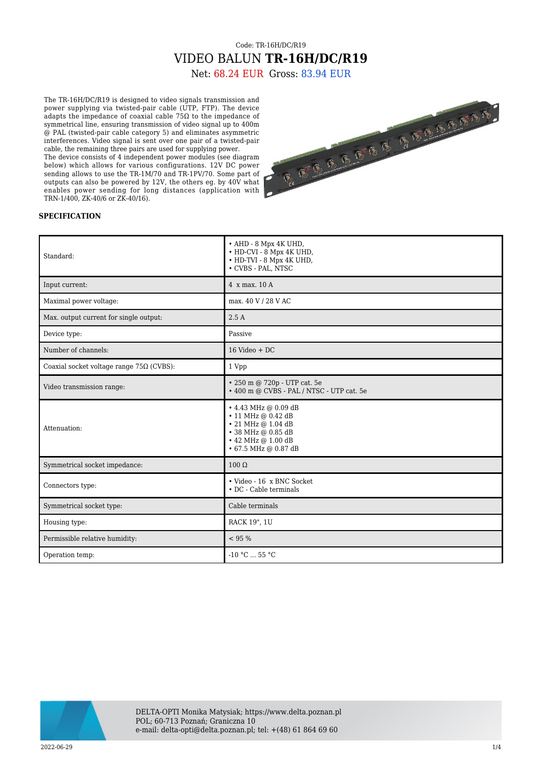## Code: TR-16H/DC/R19 VIDEO BALUN **TR-16H/DC/R19**

Net: 68.24 EUR Gross: 83.94 EUR

The TR-16H/DC/R19 is designed to video signals transmission and power supplying via twisted-pair cable (UTP, FTP). The device adapts the impedance of coaxial cable 75 $\Omega$  to the impedance of symmetrical line, ensuring transmission of video signal up to 400m @ PAL (twisted-pair cable category 5) and eliminates asymmetric interferences. Video signal is sent over one pair of a twisted-pair cable, the remaining three pairs are used for supplying power.

The device consists of 4 independent power modules (see diagram below) which allows for various configurations. 12V DC power sending allows to use the TR-1M/70 and TR-1PV/70. Some part of outputs can also be powered by 12V, the others eg. by 40V what enables power sending for long distances (application with TRN-1/400, ZK-40/6 or ZK-40/16).



## **SPECIFICATION**

| Standard:                                       | $\bullet$ AHD - 8 Mpx 4K UHD,<br>• HD-CVI - 8 Mpx 4K UHD,<br>• HD-TVI - 8 Mpx 4K UHD,<br>• CVBS - PAL, NTSC                                            |
|-------------------------------------------------|--------------------------------------------------------------------------------------------------------------------------------------------------------|
| Input current:                                  | $4 \times max. 10 A$                                                                                                                                   |
| Maximal power voltage:                          | max. 40 V / 28 V AC                                                                                                                                    |
| Max. output current for single output:          | 2.5A                                                                                                                                                   |
| Device type:                                    | Passive                                                                                                                                                |
| Number of channels:                             | $16$ Video + DC                                                                                                                                        |
| Coaxial socket voltage range $75\Omega$ (CVBS): | 1 Vpp                                                                                                                                                  |
| Video transmission range:                       | • 250 m @ 720p - UTP cat. 5e<br>• 400 m @ CVBS - PAL / NTSC - UTP cat. 5e                                                                              |
| Attenuation:                                    | $\cdot$ 4.43 MHz @ 0.09 dB<br>$\cdot$ 11 MHz @ 0.42 dB<br>$\cdot$ 21 MHz @ 1.04 dB<br>• 38 MHz @ 0.85 dB<br>• 42 MHz @ 1.00 dB<br>• 67.5 MHz @ 0.87 dB |
| Symmetrical socket impedance:                   | $100 \Omega$                                                                                                                                           |
| Connectors type:                                | • Video - 16 x BNC Socket<br>• DC - Cable terminals                                                                                                    |
| Symmetrical socket type:                        | Cable terminals                                                                                                                                        |
| Housing type:                                   | RACK 19", 1U                                                                                                                                           |
| Permissible relative humidity:                  | < 95 %                                                                                                                                                 |
| Operation temp:                                 | $-10 °C$ 55 °C                                                                                                                                         |

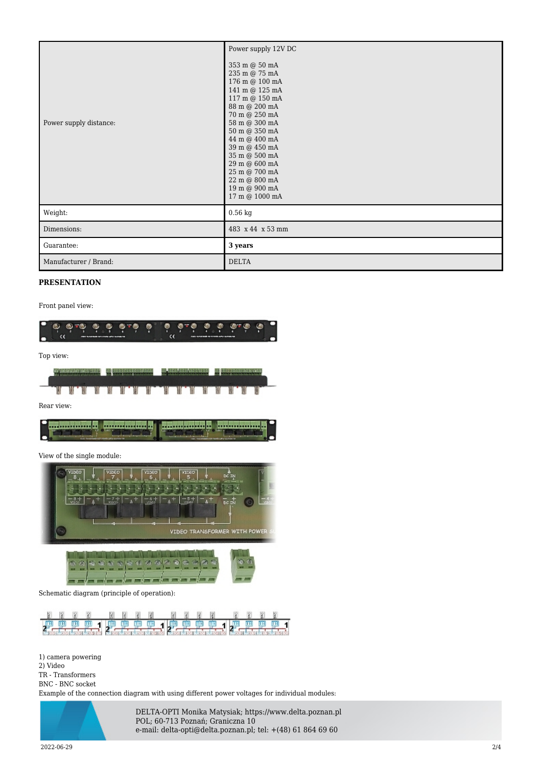| Power supply distance: | Power supply 12V DC<br>$353$ m $\circledcirc$ $50$ mA<br>235 m @ 75 mA<br>176 m @ 100 mA<br>141 m @ 125 mA<br>117 m @ 150 mA<br>88 m @ 200 mA<br>70 m @ 250 mA<br>58 m @ 300 mA<br>$50$ m $\odot$ $350$ mA<br>44 m @ 400 mA<br>39 m @ 450 mA<br>35 m @ 500 mA<br>29 m @ 600 mA<br>25 m @ 700 mA<br>22 m @ 800 mA<br>19 m @ 900 mA<br>17 m @ 1000 mA |
|------------------------|-----------------------------------------------------------------------------------------------------------------------------------------------------------------------------------------------------------------------------------------------------------------------------------------------------------------------------------------------------|
| Weight:                | $0.56$ kg                                                                                                                                                                                                                                                                                                                                           |
| Dimensions:            | 483 x 44 x 53 mm                                                                                                                                                                                                                                                                                                                                    |
| Guarantee:             | 3 years                                                                                                                                                                                                                                                                                                                                             |
| Manufacturer / Brand:  | <b>DELTA</b>                                                                                                                                                                                                                                                                                                                                        |

## **PRESENTATION**

Front panel view:



Top view:



Rear view:

| <b>CONTRACTOR</b>        | in a constitution and the first   |
|--------------------------|-----------------------------------|
| <b>BUSINESS SERVICES</b> | <b>In construction and carry-</b> |

View of the single module:



Schematic diagram (principle of operation):



1) camera powering 2) Video TR - Transformers BNC - BNC socket Example of the connection diagram with using different power voltages for individual modules:



DELTA-OPTI Monika Matysiak; https://www.delta.poznan.pl POL; 60-713 Poznań; Graniczna 10 e-mail: delta-opti@delta.poznan.pl; tel: +(48) 61 864 69 60

2022-06-29 2/4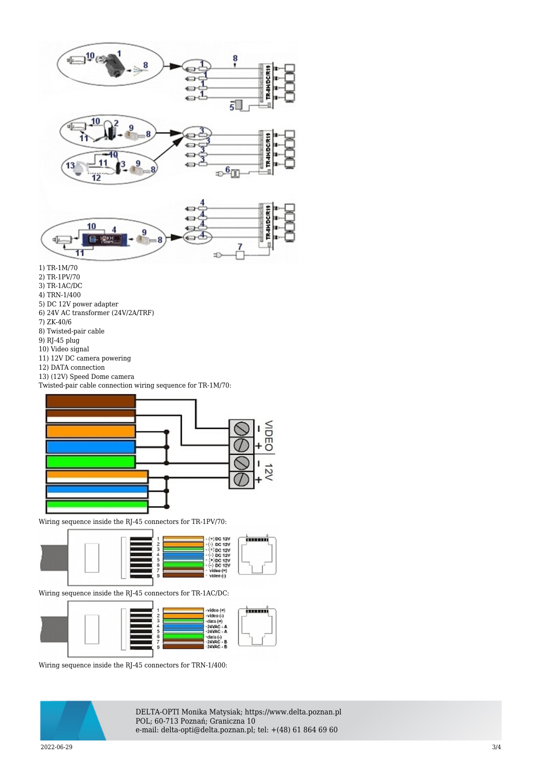





- 1) TR-1M/70
- 2) TR-1PV/70
- 3) TR-1AC/DC 4) TRN-1/400
- 
- 5) DC 12V power adapter 6) 24V AC transformer (24V/2A/TRF)
- 7) ZK-40/6
- 8) Twisted-pair cable
- 9) RJ-45 plug
- 10) Video signal
- 11) 12V DC camera powering
- 12) DATA connection
- 13) (12V) Speed Dome camera

Twisted-pair cable connection wiring sequence for TR-1M/70:



Wiring sequence inside the RJ-45 connectors for TR-1PV/70:



Wiring sequence inside the RJ-45 connectors for TR-1AC/DC:



Wiring sequence inside the RJ-45 connectors for TRN-1/400:



DELTA-OPTI Monika Matysiak; https://www.delta.poznan.pl POL; 60-713 Poznań; Graniczna 10 e-mail: delta-opti@delta.poznan.pl; tel: +(48) 61 864 69 60

2022-06-29 3/4